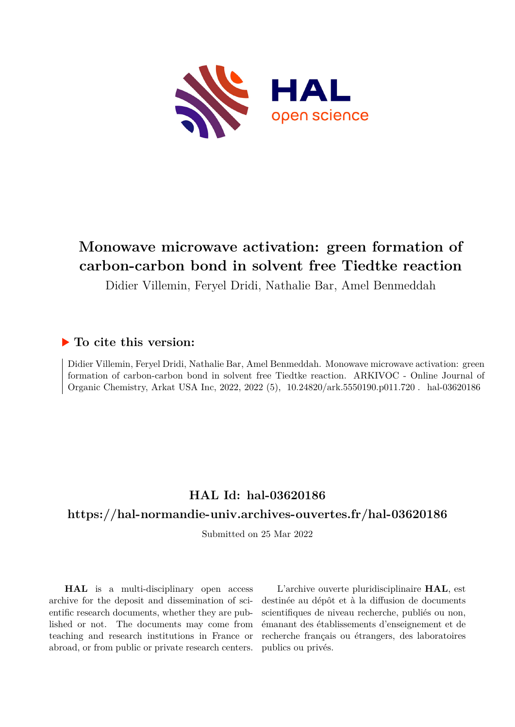

# **Monowave microwave activation: green formation of carbon-carbon bond in solvent free Tiedtke reaction**

Didier Villemin, Feryel Dridi, Nathalie Bar, Amel Benmeddah

# **To cite this version:**

Didier Villemin, Feryel Dridi, Nathalie Bar, Amel Benmeddah. Monowave microwave activation: green formation of carbon-carbon bond in solvent free Tiedtke reaction. ARKIVOC - Online Journal of Organic Chemistry, Arkat USA Inc, 2022, 2022 (5),  $10.24820/axk.5550190.p011.720$ . hal-03620186

# **HAL Id: hal-03620186**

# **<https://hal-normandie-univ.archives-ouvertes.fr/hal-03620186>**

Submitted on 25 Mar 2022

**HAL** is a multi-disciplinary open access archive for the deposit and dissemination of scientific research documents, whether they are published or not. The documents may come from teaching and research institutions in France or abroad, or from public or private research centers.

L'archive ouverte pluridisciplinaire **HAL**, est destinée au dépôt et à la diffusion de documents scientifiques de niveau recherche, publiés ou non, émanant des établissements d'enseignement et de recherche français ou étrangers, des laboratoires publics ou privés.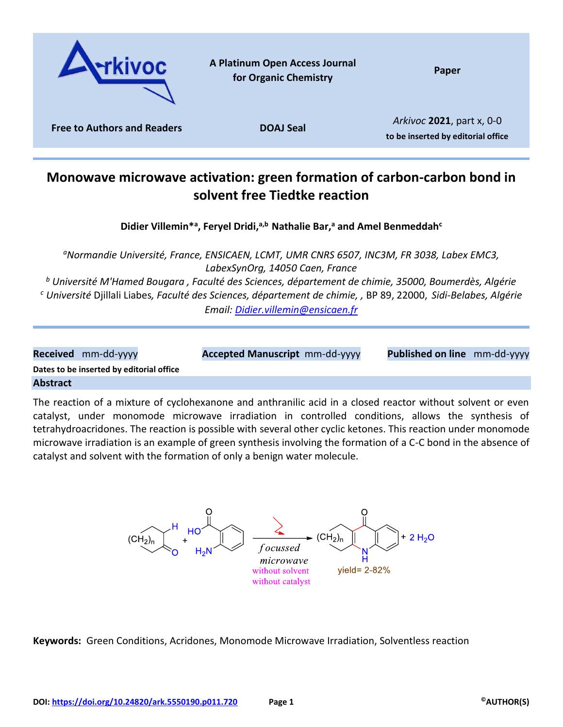

# **Monowave microwave activation: green formation of carbon-carbon bond in solvent free Tiedtke reaction**

**Didier Villemin\*<sup>a</sup> , Feryel Dridi,a,b Nathalie Bar,<sup>a</sup> and Amel Benmeddah<sup>c</sup>**

*<sup>a</sup>Normandie Université, France, ENSICAEN, LCMT, UMR CNRS 6507, INC3M, FR 3038, Labex EMC3, LabexSynOrg, 14050 Caen, France*

*<sup>b</sup> Université M'Hamed Bougara , Faculté des Sciences, département de chimie, 35000, Boumerdès, Algérie <sup>c</sup> Université* Djillali Liabes*, Faculté des Sciences, département de chimie, ,* BP 89, 22000, *Sidi-Belabes, Algérie Email: [Didier.villemin@ensicaen.fr](mailto:Didier.villemin@ensicaen.fr)*

| Received mm-dd-yyyy                      | <b>Accepted Manuscript</b> mm-dd-yyyy | Published on line mm-dd-yyyy |  |
|------------------------------------------|---------------------------------------|------------------------------|--|
| Dates to be inserted by editorial office |                                       |                              |  |
| <b>Abstract</b>                          |                                       |                              |  |

The reaction of a mixture of cyclohexanone and anthranilic acid in a closed reactor without solvent or even catalyst, under monomode microwave irradiation in controlled conditions, allows the synthesis of tetrahydroacridones. The reaction is possible with several other cyclic ketones. This reaction under monomode microwave irradiation is an example of green synthesis involving the formation of a C-C bond in the absence of catalyst and solvent with the formation of only a benign water molecule.



**Keywords:** Green Conditions, Acridones, Monomode Microwave Irradiation, Solventless reaction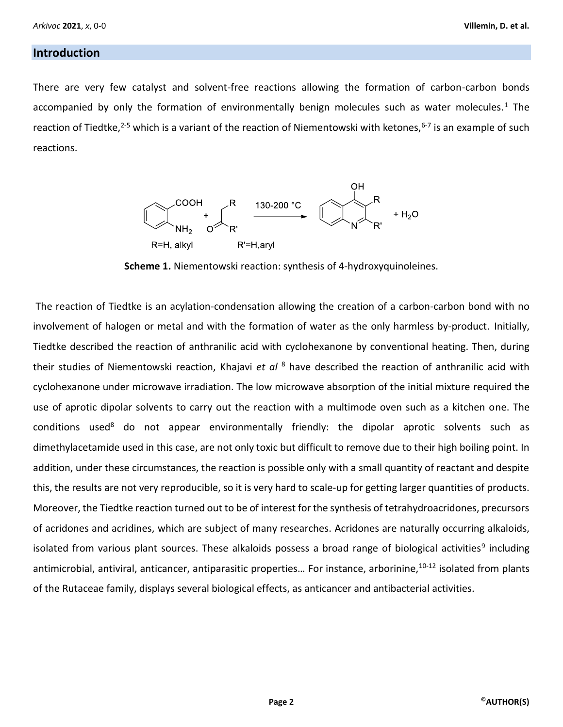### **Introduction**

There are very few catalyst and solvent-free reactions allowing the formation of carbon-carbon bonds accompanied by only the formation of environmentally benign molecules such as water molecules.<sup>1</sup> The reaction of Tiedtke,<sup>2-5</sup> which is a variant of the reaction of Niementowski with ketones,<sup>6-7</sup> is an example of such reactions.



**Scheme 1.** Niementowski reaction: synthesis of 4-hydroxyquinoleines.

The reaction of Tiedtke is an acylation-condensation allowing the creation of a carbon-carbon bond with no involvement of halogen or metal and with the formation of water as the only harmless by-product. Initially, Tiedtke described the reaction of anthranilic acid with cyclohexanone by conventional heating. Then, during their studies of Niementowski reaction, Khajavi *et al* <sup>8</sup> have described the reaction of anthranilic acid with cyclohexanone under microwave irradiation. The low microwave absorption of the initial mixture required the use of aprotic dipolar solvents to carry out the reaction with a multimode oven such as a kitchen one. The conditions used<sup>8</sup> do not appear environmentally friendly: the dipolar aprotic solvents such as dimethylacetamide used in this case, are not only toxic but difficult to remove due to their high boiling point. In addition, under these circumstances, the reaction is possible only with a small quantity of reactant and despite this, the results are not very reproducible, so it is very hard to scale-up for getting larger quantities of products. Moreover, the Tiedtke reaction turned out to be of interest for the synthesis of tetrahydroacridones, precursors of acridones and acridines, which are subject of many researches. Acridones are naturally occurring alkaloids, isolated from various plant sources. These alkaloids possess a broad range of biological activities<sup>9</sup> including antimicrobial, antiviral, anticancer, antiparasitic properties... For instance, arborinine, 10-12 isolated from plants of the Rutaceae family, displays several biological effects, as anticancer and antibacterial activities.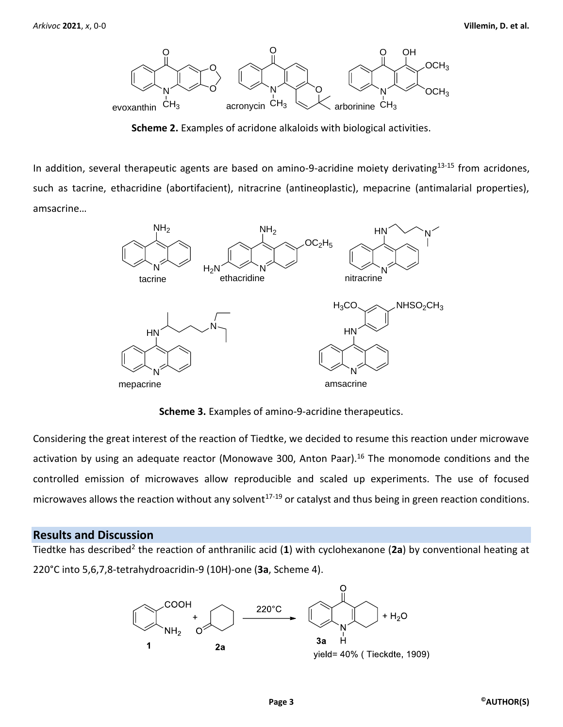

**Scheme 2.** Examples of acridone alkaloids with biological activities.

In addition, several therapeutic agents are based on amino-9-acridine moiety derivating<sup>13-15</sup> from acridones, such as tacrine, ethacridine (abortifacient), nitracrine (antineoplastic), mepacrine (antimalarial properties), amsacrine…



**Scheme 3.** Examples of amino-9-acridine therapeutics.

Considering the great interest of the reaction of Tiedtke, we decided to resume this reaction under microwave activation by using an adequate reactor (Monowave 300, Anton Paar).<sup>16</sup> The monomode conditions and the controlled emission of microwaves allow reproducible and scaled up experiments. The use of focused microwaves allows the reaction without any solvent<sup>17-19</sup> or catalyst and thus being in green reaction conditions.

## **Results and Discussion**

Tiedtke has described<sup>2</sup> the reaction of anthranilic acid (1) with cyclohexanone (2a) by conventional heating at 220°C into 5,6,7,8-tetrahydroacridin-9 (10H)-one (**3a**, Scheme 4).

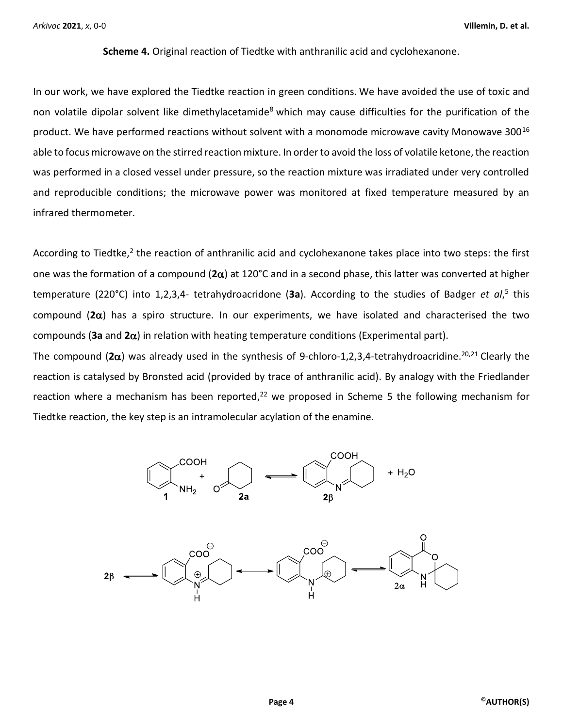**Scheme 4.** Original reaction of Tiedtke with anthranilic acid and cyclohexanone.

In our work, we have explored the Tiedtke reaction in green conditions. We have avoided the use of toxic and non volatile dipolar solvent like dimethylacetamide<sup>8</sup> which may cause difficulties for the purification of the product. We have performed reactions without solvent with a monomode microwave cavity Monowave 300<sup>16</sup> able to focus microwave on the stirred reaction mixture. In order to avoid the loss of volatile ketone, the reaction was performed in a closed vessel under pressure, so the reaction mixture was irradiated under very controlled and reproducible conditions; the microwave power was monitored at fixed temperature measured by an infrared thermometer.

According to Tiedtke,<sup>2</sup> the reaction of anthranilic acid and cyclohexanone takes place into two steps: the first one was the formation of a compound  $(2\alpha)$  at 120°C and in a second phase, this latter was converted at higher temperature (220°C) into 1,2,3,4- tetrahydroacridone (3a). According to the studies of Badger *et al*,<sup>5</sup> this compound  $(2\alpha)$  has a spiro structure. In our experiments, we have isolated and characterised the two compounds (**3a** and **2**) in relation with heating temperature conditions (Experimental part).

The compound ( $2\alpha$ ) was already used in the synthesis of 9-chloro-1,2,3,4-tetrahydroacridine.<sup>20,21</sup> Clearly the reaction is catalysed by Bronsted acid (provided by trace of anthranilic acid). By analogy with the Friedlander reaction where a mechanism has been reported,<sup>22</sup> we proposed in Scheme 5 the following mechanism for Tiedtke reaction, the key step is an intramolecular acylation of the enamine.

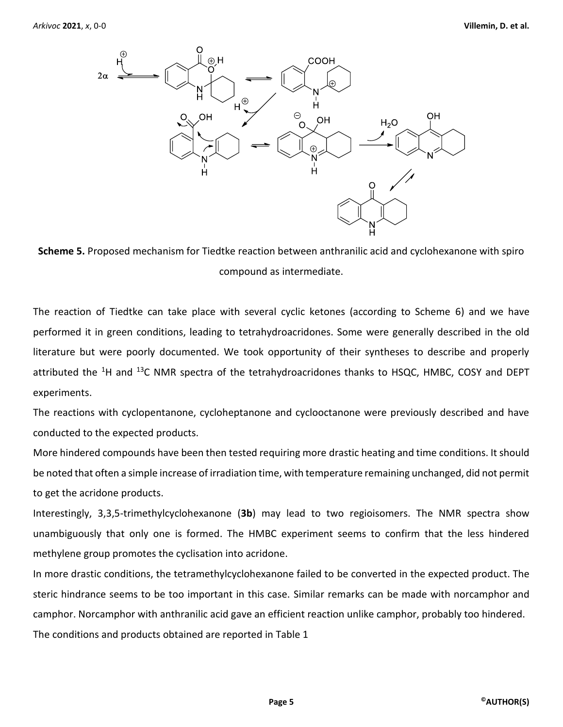



The reaction of Tiedtke can take place with several cyclic ketones (according to Scheme 6) and we have performed it in green conditions, leading to tetrahydroacridones. Some were generally described in the old literature but were poorly documented. We took opportunity of their syntheses to describe and properly attributed the <sup>1</sup>H and <sup>13</sup>C NMR spectra of the tetrahydroacridones thanks to HSQC, HMBC, COSY and DEPT experiments.

The reactions with cyclopentanone, cycloheptanone and cyclooctanone were previously described and have conducted to the expected products.

More hindered compounds have been then tested requiring more drastic heating and time conditions. It should be noted that often a simple increase of irradiation time, with temperature remaining unchanged, did not permit to get the acridone products.

Interestingly, 3,3,5-trimethylcyclohexanone (**3b**) may lead to two regioisomers. The NMR spectra show unambiguously that only one is formed. The HMBC experiment seems to confirm that the less hindered methylene group promotes the cyclisation into acridone.

In more drastic conditions, the tetramethylcyclohexanone failed to be converted in the expected product. The steric hindrance seems to be too important in this case. Similar remarks can be made with norcamphor and camphor. Norcamphor with anthranilic acid gave an efficient reaction unlike camphor, probably too hindered. The conditions and products obtained are reported in Table 1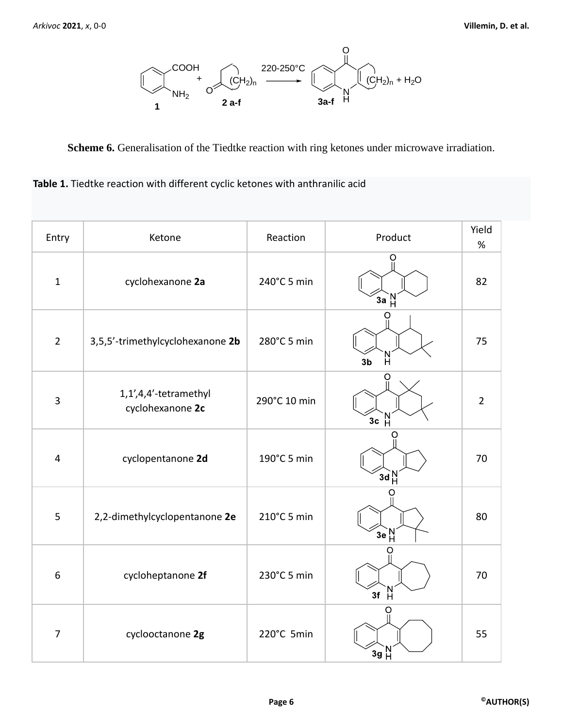

**Scheme 6.** Generalisation of the Tiedtke reaction with ring ketones under microwave irradiation.

| Table 1. Tiedtke reaction with different cyclic ketones with anthranilic acid |
|-------------------------------------------------------------------------------|
|                                                                               |

| Entry          | Ketone                                    | Reaction     | Product                        | Yield<br>$\%$  |
|----------------|-------------------------------------------|--------------|--------------------------------|----------------|
| $\mathbf 1$    | cyclohexanone 2a                          | 240°C 5 min  | Ο<br>$3a$ <sup>N</sup>         | 82             |
| $\overline{2}$ | 3,5,5'-trimethylcyclohexanone 2b          | 280°C 5 min  | O<br>'N<br>H<br>3 <sub>b</sub> | 75             |
| 3              | 1,1',4,4'-tetramethyl<br>cyclohexanone 2c | 290°C 10 min | O<br>3c H                      | $\overline{2}$ |
| 4              | cyclopentanone 2d                         | 190°C 5 min  | O<br>$3d_H^N$                  | 70             |
| 5              | 2,2-dimethylcyclopentanone 2e             | 210°C 5 min  | $3e$ <sup>N</sup>              | 80             |
| 6              | cycloheptanone 2f                         | 230°C 5 min  | $\frac{N}{H}$<br>3f            | 70             |
| $\overline{7}$ | cyclooctanone 2g                          | 220°C 5min   | O<br>$3g\,H^N$                 | 55             |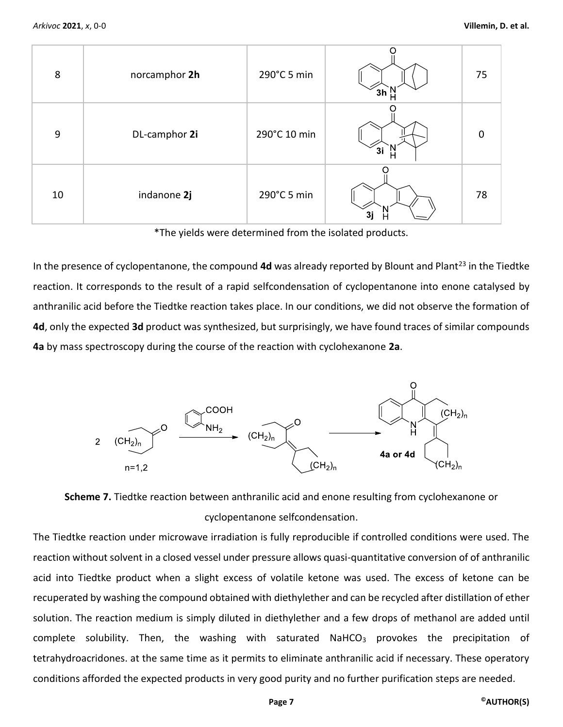| 8  | norcamphor 2h | 290°C 5 min  |    | 75 |
|----|---------------|--------------|----|----|
| 9  | DL-camphor 2i | 290°C 10 min | 3i | O  |
| 10 | indanone 2j   | 290°C 5 min  | 31 | 78 |

\*The yields were determined from the isolated products.

In the presence of cyclopentanone, the compound 4d was already reported by Blount and Plant<sup>23</sup> in the Tiedtke reaction. It corresponds to the result of a rapid selfcondensation of cyclopentanone into enone catalysed by anthranilic acid before the Tiedtke reaction takes place. In our conditions, we did not observe the formation of **4d**, only the expected **3d** product was synthesized, but surprisingly, we have found traces of similar compounds **4a** by mass spectroscopy during the course of the reaction with cyclohexanone **2a**.





The Tiedtke reaction under microwave irradiation is fully reproducible if controlled conditions were used. The reaction without solvent in a closed vessel under pressure allows quasi-quantitative conversion of of anthranilic acid into Tiedtke product when a slight excess of volatile ketone was used. The excess of ketone can be recuperated by washing the compound obtained with diethylether and can be recycled after distillation of ether solution. The reaction medium is simply diluted in diethylether and a few drops of methanol are added until complete solubility. Then, the washing with saturated NaHCO<sub>3</sub> provokes the precipitation of tetrahydroacridones. at the same time as it permits to eliminate anthranilic acid if necessary. These operatory conditions afforded the expected products in very good purity and no further purification steps are needed.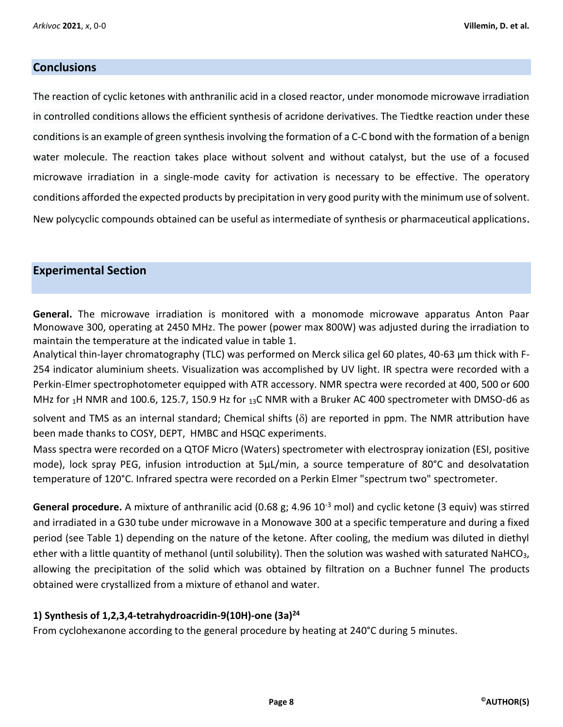### **Conclusions**

The reaction of cyclic ketones with anthranilic acid in a closed reactor, under monomode microwave irradiation in controlled conditions allows the efficient synthesis of acridone derivatives. The Tiedtke reaction under these conditions is an example of green synthesis involving the formation of a C-C bond with the formation of a benign water molecule. The reaction takes place without solvent and without catalyst, but the use of a focused microwave irradiation in a single-mode cavity for activation is necessary to be effective. The operatory conditions afforded the expected products by precipitation in very good purity with the minimum use of solvent. New polycyclic compounds obtained can be useful as intermediate of synthesis or pharmaceutical applications.

## **Experimental Section**

**General.** The microwave irradiation is monitored with a monomode microwave apparatus Anton Paar Monowave 300, operating at 2450 MHz. The power (power max 800W) was adjusted during the irradiation to maintain the temperature at the indicated value in table 1.

Analytical thin-layer chromatography (TLC) was performed on Merck silica gel 60 plates, 40-63 µm thick with F-254 indicator aluminium sheets. Visualization was accomplished by UV light. IR spectra were recorded with a Perkin-Elmer spectrophotometer equipped with ATR accessory. NMR spectra were recorded at 400, 500 or 600 MHz for  $_1$ H NMR and 100.6, 125.7, 150.9 Hz for  $_{13}$ C NMR with a Bruker AC 400 spectrometer with DMSO-d6 as solvent and TMS as an internal standard; Chemical shifts  $(\delta)$  are reported in ppm. The NMR attribution have

been made thanks to COSY, DEPT, HMBC and HSQC experiments.

Mass spectra were recorded on a QTOF Micro (Waters) spectrometer with electrospray ionization (ESI, positive mode), lock spray PEG, infusion introduction at 5µL/min, a source temperature of 80°C and desolvatation temperature of 120°C. Infrared spectra were recorded on a Perkin Elmer "spectrum two" spectrometer.

**General procedure.** A mixture of anthranilic acid (0.68 g; 4.96 10-3 mol) and cyclic ketone (3 equiv) was stirred and irradiated in a G30 tube under microwave in a Monowave 300 at a specific temperature and during a fixed period (see Table 1) depending on the nature of the ketone. After cooling, the medium was diluted in diethyl ether with a little quantity of methanol (until solubility). Then the solution was washed with saturated NaHCO<sub>3</sub>, allowing the precipitation of the solid which was obtained by filtration on a Buchner funnel The products obtained were crystallized from a mixture of ethanol and water.

### **1) Synthesis of 1,2,3,4-tetrahydroacridin-9(10H)-one (3a)<sup>24</sup>**

From cyclohexanone according to the general procedure by heating at 240°C during 5 minutes.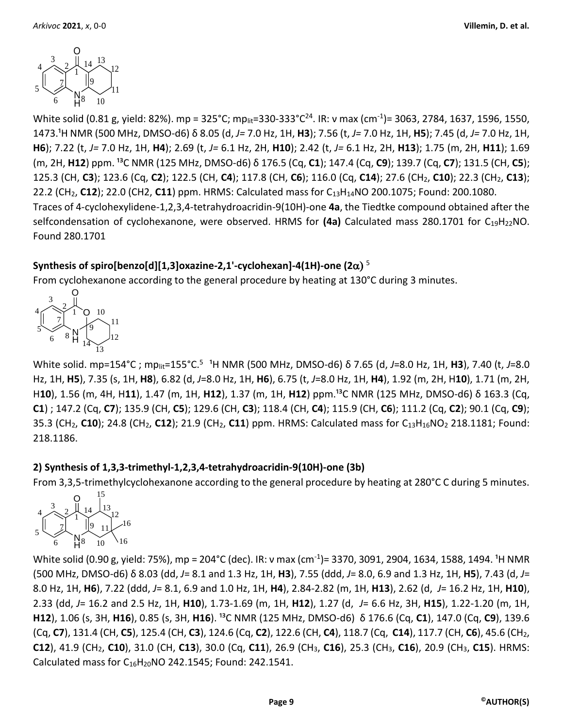

White solid (0.81 g, yield: 82%). mp = 325°C; mp<sub>lit</sub>=330-333°C<sup>24</sup>. IR: ν max (cm<sup>-1</sup>)= 3063, 2784, 1637, 1596, 1550, 1473.¹H NMR (500 MHz, DMSO-d6) δ 8.05 (d, *J=* 7.0 Hz, 1H, **H3**); 7.56 (t, *J=* 7.0 Hz, 1H, **H5**); 7.45 (d, *J=* 7.0 Hz, 1H, **H6**); 7.22 (t, *J=* 7.0 Hz, 1H, **H4**); 2.69 (t, *J=* 6.1 Hz, 2H, **H10**); 2.42 (t, *J=* 6.1 Hz, 2H, **H13**); 1.75 (m, 2H, **H11**); 1.69 (m, 2H, **H12**) ppm. ¹³C NMR (125 MHz, DMSO-d6) δ 176.5 (Cq, **C1**); 147.4 (Cq, **C9**); 139.7 (Cq, **C7**); 131.5 (CH, **C5**); 125.3 (CH, **C3**); 123.6 (Cq, **C2**); 122.5 (CH, **C4**); 117.8 (CH, **C6**); 116.0 (Cq, **C14**); 27.6 (CH2, **C10**); 22.3 (CH2, **C13**); 22.2 (CH2, **C12**); 22.0 (CH2, **C11**) ppm. HRMS: Calculated mass for C13H14NO 200.1075; Found: 200.1080. Traces of 4-cyclohexylidene-1,2,3,4-tetrahydroacridin-9(10H)-one **4a**, the Tiedtke compound obtained after the selfcondensation of cyclohexanone, were observed. HRMS for (4a) Calculated mass 280.1701 for C<sub>19</sub>H<sub>22</sub>NO. Found 280.1701

# <code>Synthesis</code> of spiro[benzo[d][1,3]oxazine-2,1'-cyclohexan]-4(1H)-one (2 $\alpha)$   $^{5}$

From cyclohexanone according to the general procedure by heating at 130°C during 3 minutes.



White solid. mp=154°C; mp<sub>lit</sub>=155°C.<sup>5</sup> <sup>1</sup>H NMR (500 MHz, DMSO-d6) δ 7.65 (d, *J*=8.0 Hz, 1H, **H3**), 7.40 (t, *J*=8.0 Hz, 1H, **H5**), 7.35 (s, 1H, **H8**), 6.82 (d, *J*=8.0 Hz, 1H, **H6**), 6.75 (t, *J*=8.0 Hz, 1H, **H4**), 1.92 (m, 2H, H**10**), 1.71 (m, 2H, H**10**), 1.56 (m, 4H, H11), 1.47 (m, 1H, H12), 1.37 (m, 1H, H12) ppm.<sup>13</sup>C NMR (125 MHz, DMSO-d6) δ 163.3 (Cq, **C1**) ; 147.2 (Cq, **C7**); 135.9 (CH, **C5**); 129.6 (CH, **C3**); 118.4 (CH, **C4**); 115.9 (CH, **C6**); 111.2 (Cq, **C2**); 90.1 (Cq, **C9**); 35.3 (CH2, **C10**); 24.8 (CH2, **C12**); 21.9 (CH2, **C11**) ppm. HRMS: Calculated mass for C13H16NO<sup>2</sup> 218.1181; Found: 218.1186.

# **2) Synthesis of 1,3,3-trimethyl-1,2,3,4-tetrahydroacridin-9(10H)-one (3b)**

From 3,3,5-trimethylcyclohexanone according to the general procedure by heating at 280°C C during 5 minutes.



White solid (0.90 g, yield: 75%), mp = 204°C (dec). IR: v max (cm<sup>-1</sup>)= 3370, 3091, 2904, 1634, 1588, 1494. <sup>1</sup>H NMR (500 MHz, DMSO-d6) δ 8.03 (dd, *J*= 8.1 and 1.3 Hz, 1H, **H3**), 7.55 (ddd, *J*= 8.0, 6.9 and 1.3 Hz, 1H, **H5**), 7.43 (d, *J*= 8.0 Hz, 1H, **H6**), 7.22 (ddd, *J*= 8.1, 6.9 and 1.0 Hz, 1H, **H4**), 2.84-2.82 (m, 1H, **H13**), 2.62 (d, *J*= 16.2 Hz, 1H, **H10**), 2.33 (dd, *J*= 16.2 and 2.5 Hz, 1H, **H10**), 1.73-1.69 (m, 1H, **H12**), 1.27 (d, *J*= 6.6 Hz, 3H, **H15**), 1.22-1.20 (m, 1H, **H12**), 1.06 (s, 3H, **H16**), 0.85 (s, 3H, **H16**). <sup>13</sup>C NMR (125 MHz, DMSO-d6) δ 176.6 (Cq, **C1**), 147.0 (Cq, **C9**), 139.6 (Cq, **C7**), 131.4 (CH, **C5**), 125.4 (CH, **C3**), 124.6 (Cq, **C2**), 122.6 (CH, **C4**), 118.7 (Cq, **C14**), 117.7 (CH, **C6**), 45.6 (CH2, **C12**), 41.9 (CH2, **C10**), 31.0 (CH, **C13**), 30.0 (Cq, **C11**), 26.9 (CH3, **C16**), 25.3 (CH3, **C16**), 20.9 (CH3, **C15**). HRMS: Calculated mass for C16H20NO 242.1545; Found: 242.1541.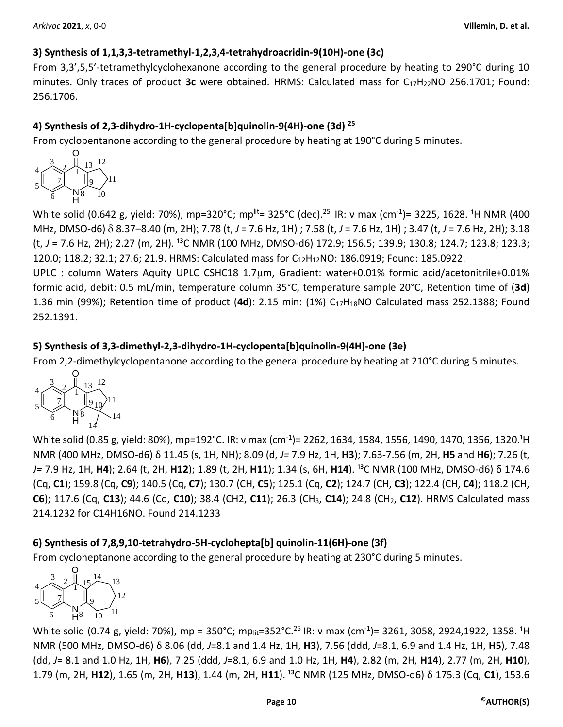# **3) Synthesis of 1,1,3,3-tetramethyl-1,2,3,4-tetrahydroacridin-9(10H)-one (3c)**

From 3,3',5,5'-tetramethylcyclohexanone according to the general procedure by heating to 290°C during 10 minutes. Only traces of product 3c were obtained. HRMS: Calculated mass for C<sub>17</sub>H<sub>22</sub>NO 256.1701; Found: 256.1706.

# **4) Synthesis of 2,3-dihydro-1H-cyclopenta[b]quinolin-9(4H)-one (3d) <sup>25</sup>**

From cyclopentanone according to the general procedure by heating at 190°C during 5 minutes.



White solid (0.642 g, yield: 70%), mp=320°C; mp<sup>lit</sup>= 325°C (dec).<sup>25</sup> IR: ν max (cm<sup>-1</sup>)= 3225, 1628. <sup>1</sup>H NMR (400 MHz, DMSO-d6) 8.37–8.40 (m, 2H) 7.78 (t, *J* = 7.6 Hz, 1H) ; 7.58 (t, *J* = 7.6 Hz, 1H) ; 3.47 (t, *J* = 7.6 Hz, 2H); 3.18 (t, J = 7.6 Hz, 2H); 2.27 (m, 2H). <sup>13</sup>C NMR (100 MHz, DMSO-d6) 172.9; 156.5; 139.9; 130.8; 124.7; 123.8; 123.3; 120.0; 118.2; 32.1; 27.6; 21.9. HRMS: Calculated mass for C12H12NO: 186.0919; Found: 185.0922.

UPLC : column Waters Aquity UPLC CSHC18 1.7um, Gradient: water+0.01% formic acid/acetonitrile+0.01% formic acid, debit: 0.5 mL/min, temperature column 35°C, temperature sample 20°C, Retention time of (**3d**) 1.36 min (99%); Retention time of product (**4d**): 2.15 min: (1%) C17H18NO Calculated mass 252.1388; Found 252.1391.

# **5) Synthesis of 3,3-dimethyl-2,3-dihydro-1H-cyclopenta[b]quinolin-9(4H)-one (3e)**

From 2,2-dimethylcyclopentanone according to the general procedure by heating at 210°C during 5 minutes.



White solid (0.85 g, yield: 80%), mp=192°C. IR: ν max (cm<sup>-1</sup>)= 2262, 1634, 1584, 1556, 1490, 1470, 1356, 1320.<sup>1</sup>H NMR (400 MHz, DMSO-d6) δ 11.45 (s, 1H, NH); 8.09 (d, *J=* 7.9 Hz, 1H, **H3**); 7.63-7.56 (m, 2H, **H5** and **H6**); 7.26 (t, *J=* 7.9 Hz, 1H, **H4**); 2.64 (t, 2H, **H12**); 1.89 (t, 2H, **H11**); 1.34 (s, 6H, **H14**). ¹³C NMR (100 MHz, DMSO-d6) δ 174.6 (Cq, **C1**); 159.8 (Cq, **C9**); 140.5 (Cq, **C7**); 130.7 (CH, **C5**); 125.1 (Cq, **C2**); 124.7 (CH, **C3**); 122.4 (CH, **C4**); 118.2 (CH, **C6**); 117.6 (Cq, **C13**); 44.6 (Cq, **C10**); 38.4 (CH2, **C11**); 26.3 (CH3, **C14**); 24.8 (CH2, **C12**). HRMS Calculated mass 214.1232 for C14H16NO. Found 214.1233

# **6) Synthesis of 7,8,9,10-tetrahydro-5H-cyclohepta[b] quinolin-11(6H)-one (3f)**

From cycloheptanone according to the general procedure by heating at 230°C during 5 minutes.



White solid (0.74 g, yield: 70%), mp = 350°C; mp<sub>lit</sub>=352°C.<sup>25</sup> IR: ν max (cm<sup>-1</sup>)= 3261, 3058, 2924,1922, 1358. <sup>1</sup>H NMR (500 MHz, DMSO-d6) δ 8.06 (dd, *J*=8.1 and 1.4 Hz, 1H, **H3**), 7.56 (ddd, *J*=8.1, 6.9 and 1.4 Hz, 1H, **H5**), 7.48 (dd, *J*= 8.1 and 1.0 Hz, 1H, **H6**), 7.25 (ddd, *J*=8.1, 6.9 and 1.0 Hz, 1H, **H4**), 2.82 (m, 2H, **H14**), 2.77 (m, 2H, **H10**), 1.79 (m, 2H, H12), 1.65 (m, 2H, H13), 1.44 (m, 2H, H11). <sup>13</sup>C NMR (125 MHz, DMSO-d6) δ 175.3 (Cq, C1), 153.6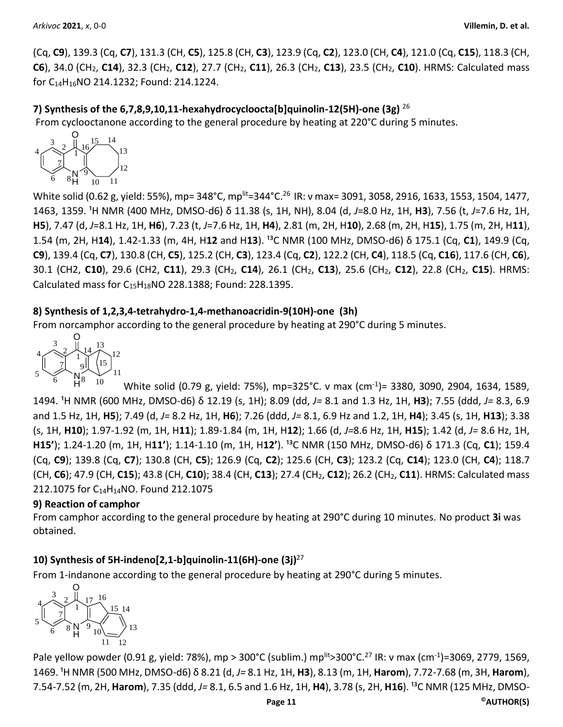(Cq, **C9**), 139.3 (Cq, **C7**), 131.3 (CH, **C5**), 125.8 (CH, **C3**), 123.9 (Cq, **C2**), 123.0 (CH, **C4**), 121.0 (Cq, **C15**), 118.3 (CH, **C6**), 34.0 (CH2, **C14**), 32.3 (CH2, **C12**), 27.7 (CH2, **C11**), 26.3 (CH2, **C13**), 23.5 (CH2, **C10**). HRMS: Calculated mass for C14H16NO 214.1232; Found: 214.1224.

**7) Synthesis of the 6,7,8,9,10,11-hexahydrocycloocta[b]quinolin-12(5H)-one (3g)** <sup>26</sup> From cyclooctanone according to the general procedure by heating at 220°C during 5 minutes.

$$
\begin{array}{c|c}\n & 3 & 2 & 16 & 15 & 14 \\
& 7 & 16 & 13 & 13 \\
& 6 & 8 & 9 & 10 & 11\n\end{array}
$$

White solid (0.62 g, yield: 55%), mp= 348°C, mp<sup>lit</sup>=344°C.<sup>26</sup> IR: ν max= 3091, 3058, 2916, 1633, 1553, 1504, 1477, 1463, 1359. ¹H NMR (400 MHz, DMSO-d6) δ 11.38 (s, 1H, NH), 8.04 (d, *J*=8.0 Hz, 1H, **H3**), 7.56 (t, *J*=7.6 Hz, 1H, **H5**), 7.47 (d, *J*=8.1 Hz, 1H, **H6**), 7.23 (t, *J*=7.6 Hz, 1H, **H4**), 2.81 (m, 2H, H**10**), 2.68 (m, 2H, H**15**), 1.75 (m, 2H, H**11**), 1.54 (m, 2H, H14), 1.42-1.33 (m, 4H, H12 and H13). <sup>13</sup>C NMR (100 MHz, DMSO-d6) δ 175.1 (Cq, C1), 149.9 (Cq, **C9**), 139.4 (Cq, **C7**), 130.8 (CH, **C5**), 125.2 (CH, **C3**), 123.4 (Cq, **C2**), 122.2 (CH, **C4**), 118.5 (Cq, **C16**), 117.6 (CH, **C6**), 30.1 (CH2, **C10**), 29.6 (CH2, **C11**), 29.3 (CH2, **C14**), 26.1 (CH2, **C13**), 25.6 (CH2, **C12**), 22.8 (CH2, **C15**). HRMS: Calculated mass for C15H18NO 228.1388; Found: 228.1395.

## **8) Synthesis of 1,2,3,4-tetrahydro-1,4-methanoacridin-9(10H)-one (3h)**

From norcamphor according to the general procedure by heating at 290°C during 5 minutes.



White solid (0.79 g, yield: 75%), mp=325°C. ν max (cm-1 )= 3380, 3090, 2904, 1634, 1589, 1494. ¹H NMR (600 MHz, DMSO-d6) δ 12.19 (s, 1H); 8.09 (dd, *J=* 8.1 and 1.3 Hz, 1H, **H3**); 7.55 (ddd, *J=* 8.3, 6.9 and 1.5 Hz, 1H, **H5**); 7.49 (d, *J=* 8.2 Hz, 1H, **H6**); 7.26 (ddd, *J=* 8.1, 6.9 Hz and 1.2, 1H, **H4**); 3.45 (s, 1H, **H13**); 3.38 (s, 1H, **H10**); 1.97-1.92 (m, 1H, H**11**); 1.89-1.84 (m, 1H, H**12**); 1.66 (d, *J=*8.6 Hz, 1H, **H15**); 1.42 (d, *J=* 8.6 Hz, 1H, **H15'**); 1.24-1.20 (m, 1H, H11'); 1.14-1.10 (m, 1H, H12'). <sup>13</sup>C NMR (150 MHz, DMSO-d6) δ 171.3 (Cq, C1); 159.4 (Cq, **C9**); 139.8 (Cq, **C7**); 130.8 (CH, **C5**); 126.9 (Cq, **C2**); 125.6 (CH, **C3**); 123.2 (Cq, **C14**); 123.0 (CH, **C4**); 118.7 (CH, **C6**); 47.9 (CH, **C15**); 43.8 (CH, **C10**); 38.4 (CH, **C13**); 27.4 (CH2, **C12**); 26.2 (CH2, **C11**). HRMS: Calculated mass 212.1075 for C14H14NO. Found 212.1075

### **9) Reaction of camphor**

From camphor according to the general procedure by heating at 290°C during 10 minutes. No product **3i** was obtained.

# **10) Synthesis of 5H-indeno[2,1-b]quinolin-11(6H)-one (3j)**<sup>27</sup>

From 1-indanone according to the general procedure by heating at 290°C during 5 minutes.



Pale yellow powder (0.91 g, yield: 78%), mp > 300°C (sublim.) mp<sup>lit</sup>>300°C.<sup>27</sup> IR: ν max (cm<sup>-1</sup>)=3069, 2779, 1569, 1469. ¹H NMR (500 MHz, DMSO-d6) δ 8.21 (d, *J=* 8.1 Hz, 1H, **H3**), 8.13 (m, 1H, **Harom**), 7.72-7.68 (m, 3H, **Harom**), 7.54-7.52 (m, 2H, Harom), 7.35 (ddd, J= 8.1, 6.5 and 1.6 Hz, 1H, H4), 3.78 (s, 2H, H16). <sup>13</sup>C NMR (125 MHz, DMSO-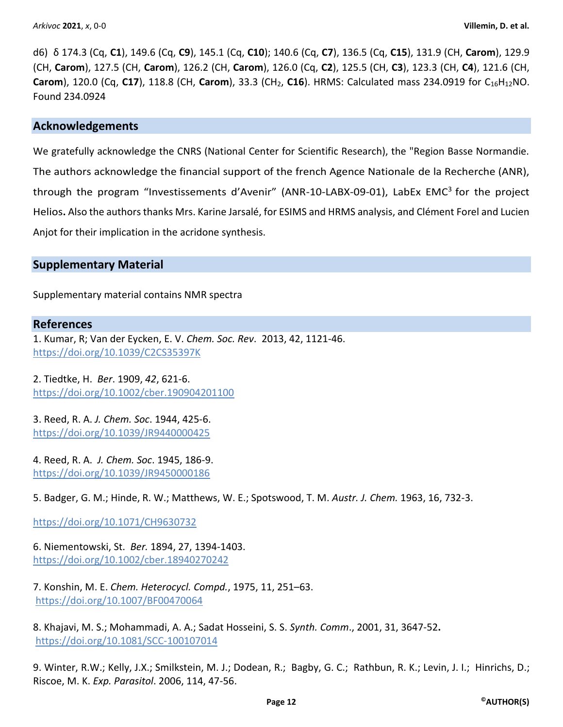d6) δ 174.3 (Cq, **C1**), 149.6 (Cq, **C9**), 145.1 (Cq, **C10**); 140.6 (Cq, **C7**), 136.5 (Cq, **C15**), 131.9 (CH, **Carom**), 129.9 (CH, **Carom**), 127.5 (CH, **Carom**), 126.2 (CH, **Carom**), 126.0 (Cq, **C2**), 125.5 (CH, **C3**), 123.3 (CH, **C4**), 121.6 (CH, **Carom**), 120.0 (Cq, **C17**), 118.8 (CH, **Carom**), 33.3 (CH<sub>2</sub>, **C16**). HRMS: Calculated mass 234.0919 for C<sub>16</sub>H<sub>12</sub>NO. Found 234.0924

### **Acknowledgements**

We gratefully acknowledge the CNRS (National Center for Scientific Research), the "Region Basse Normandie. The authors acknowledge the financial support of the french Agence Nationale de la Recherche (ANR), through the program "Investissements d'Avenir" (ANR-10-LABX-09-01), LabEx EMC $3$  for the project Helios**.** Also the authors thanks Mrs. Karine Jarsalé, for ESIMS and HRMS analysis, and Clément Forel and Lucien Anjot for their implication in the acridone synthesis.

### **Supplementary Material**

Supplementary material contains NMR spectra

#### **References**

1. Kumar, R; Van der Eycken, E. V. *Chem. Soc. Rev*. 2013, 42, 1121-46. <https://doi.org/10.1039/C2CS35397K>

2. Tiedtke, H. *Ber*. 1909, *42*, 621-6. <https://doi.org/10.1002/cber.190904201100>

3. Reed, R. A. *J. Chem. Soc*. 1944, 425-6. <https://doi.org/10.1039/JR9440000425>

4. Reed, R. A. *J. Chem. Soc*. 1945, 186-9. https://doi.org/10.1039/JR9450000186

5. Badger, G. M.; Hinde, R. W.; Matthews, W. E.; Spotswood, T. M. *Austr. J. Chem.* 1963, 16, 732-3.

https://doi.org/10.1071/CH9630732

6. Niementowski, St. *Ber.* 1894, 27, 1394-1403. https://doi.org[/10.1002/cber.18940270242](https://doi.org/10.1002/cber.18940270242)

7. Konshin, M. E. *Chem. Heterocycl. Compd.*, 1975, 11, 251–63. https://doi.org/10.1007/BF00470064

8. Khajavi, M. S.; Mohammadi, A. A.; Sadat Hosseini, S. S. *Synth. Comm*., 2001, 31, 3647-52**.** [https://doi.org/10.1081/SCC-100107014](https://doi.org/10.1081/SCC-10010701)

9. Winter, R.W.; Kelly, J.X.; Smilkstein, M. J.; Dodean, R.; Bagby, G. C.; Rathbun, R. K.; Levin, J. I.; Hinrichs, D.; Riscoe, M. K. *Exp. Parasitol*. 2006, 114, 47-56.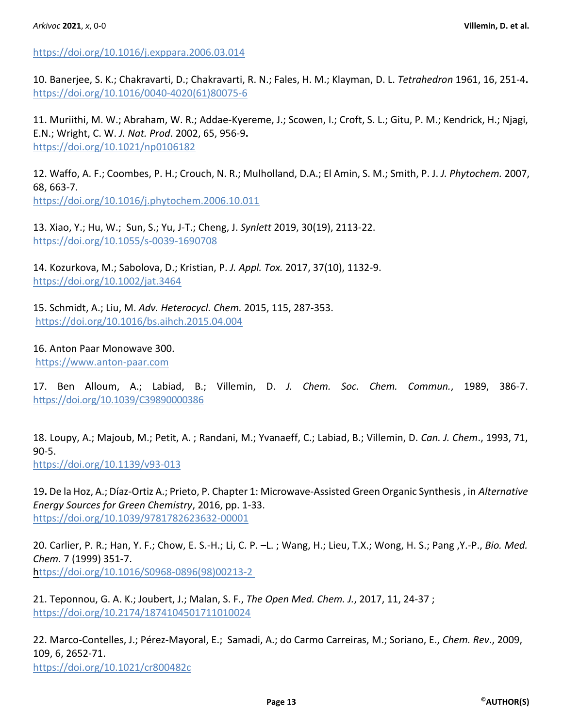<https://doi.org/10.1016/j.exppara.2006.03.014>

10. Banerjee, S. K.; Chakravarti, D.; Chakravarti, R. N.; Fales, H. M.; Klayman, D. L. *Tetrahedron* 1961, 16, 251-4**.** https://doi.org[/10.1016/0040-4020\(61\)80075-6](https://doi.org/10.1016/0040-4020(61)80075-6#_blank)

11. Muriithi, M. W.; Abraham, W. R.; Addae-Kyereme, J.; Scowen, I.; Croft, S. L.; Gitu, P. M.; Kendrick, H.; Njagi, E.N.; Wright, C. W. *J. Nat. Prod*. 2002, 65, 956-9**.** [https://doi.org/10.1021/np0106182](https://doi.org/10.1021/np50032a009)

12. Waffo, A. F.; Coombes, P. H.; Crouch, N. R.; Mulholland, D.A.; El Amin, S. M.; Smith, P. J. *J. Phytochem.* 2007, 68, 663-7.

https://doi.org[/10.1016/j.phytochem.2006.10.011](https://doi.org/10.1016/j.phytochem.2006.10.011#_blank)

13. Xiao, Y.; Hu, W.; Sun, S.; Yu, J-T.; Cheng, J. *Synlett* 2019, 30(19), 2113-22. <https://doi.org/10.1055/s-0039-1690708>

14. Kozurkova, M.; Sabolova, D.; Kristian, P. *J. Appl. Tox.* 2017, 37(10), 1132-9. <https://doi.org/10.1002/jat.3464>

15. Schmidt, A.; Liu, M. *Adv. Heterocycl. Chem.* 2015, 115, 287-353. <https://doi.org/10.1016/bs.aihch.2015.04.004>

16. Anton Paar Monowave 300. [https://www.anton-paar.com](https://www.anton-paar.com/corp-en/products/group/microwave-synthesis-synthetic-chemistry/) 

17. Ben Alloum, A.; Labiad, B.; Villemin, D. *J. Chem. Soc. Chem. Commun.*, 1989, 386-7. [https://doi.org/10.1039/C39890000386](http://dx.doi.org.inc.bib.cnrs.fr/10.1039/C39890000386)

18. Loupy, A.; Majoub, M.; Petit, A. ; Randani, M.; Yvanaeff, C.; Labiad, B.; Villemin, D. *Can. J. Chem*., 1993, 71, 90-5.

<https://doi.org/10.1139/v93-013>

19**.** De la Hoz, A.; Díaz-Ortiz A.; Prieto, P. Chapter 1: Microwave-Assisted Green Organic Synthesis , in *Alternative Energy Sources for Green Chemistry*, 2016, pp. 1-33. https://doi.org[/10.1039/9781782623632-00001](https://doi.org/10.1039/9781782623632-00001)

20. Carlier, P. R.; Han, Y. F.; Chow, E. S.-H.; Li, C. P. –L. ; Wang, H.; Lieu, T.X.; Wong, H. S.; Pang ,Y.-P., *Bio. Med. Chem.* 7 (1999) 351-7. https://doi.org/10.1016/S0968-0896(98)00213-2

21. Teponnou, G. A. K.; Joubert, J.; Malan, S. F., *The Open Med. Chem. J.*, 2017, 11, 24-37 ; https://doi.org/10.2174/1874104501711010024

22. [Marco-Contelles,](https://pubs.acs.org/action/doSearch?field1=Contrib&text1=Jos%C3%A9++Marco-Contelles) J.; Pérez-Mayoral, E.[; Samadi,](https://pubs.acs.org/action/doSearch?field1=Contrib&text1=Abdelouahid++Samadi) A.; do Carmo Carreiras, M.; [Soriano,](https://pubs.acs.org/action/doSearch?field1=Contrib&text1=Elena++Soriano) E., *Chem. Rev*., 2009, 109, 6, 2652-71. <https://doi.org/10.1021/cr800482c>